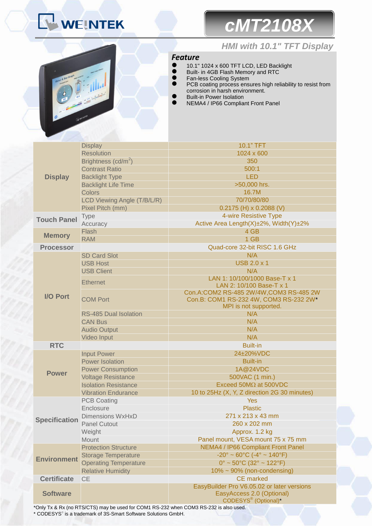# **NEINTEK**

## *cMT2108X*

*HMI with 10.1" TFT Display*



#### *Feature*

- <sup>10.1"</sup> 1024 x 600 TFT LCD, LED Backlight
- **Built- in 4GB Flash Memory and RTC**
- Fan-less Cooling System<br>● PCB coating process ens
- **•** PCB coating process ensures high reliability to resist from corrosion in harsh environment.
- Built-in Power Isolation
- NEMA4 / IP66 Compliant Front Panel

|                      | <b>Display</b>                  | 10.1" TFT                                                          |  |
|----------------------|---------------------------------|--------------------------------------------------------------------|--|
|                      | <b>Resolution</b>               | 1024 x 600                                                         |  |
|                      | Brightness (cd/m <sup>2</sup> ) | 350                                                                |  |
|                      | <b>Contrast Ratio</b>           | 500:1                                                              |  |
| <b>Display</b>       | <b>Backlight Type</b>           | <b>LED</b>                                                         |  |
|                      | <b>Backlight Life Time</b>      | >50,000 hrs.                                                       |  |
|                      | Colors                          | 16.7M                                                              |  |
|                      | LCD Viewing Angle (T/B/L/R)     | 70/70/80/80                                                        |  |
|                      | Pixel Pitch (mm)                | $0.2175$ (H) x 0.2088 (V)                                          |  |
| <b>Touch Panel</b>   | <b>Type</b>                     | 4-wire Resistive Type                                              |  |
|                      | Accuracy                        | Active Area Length(X)±2%, Width(Y)±2%                              |  |
| <b>Memory</b>        | Flash                           | 4 GB                                                               |  |
|                      | <b>RAM</b>                      | 1 GB                                                               |  |
| <b>Processor</b>     |                                 | Quad-core 32-bit RISC 1.6 GHz                                      |  |
|                      | <b>SD Card Slot</b>             | N/A                                                                |  |
|                      | <b>USB Host</b>                 | <b>USB 2.0 x 1</b>                                                 |  |
| <b>I/O Port</b>      | <b>USB Client</b>               | N/A                                                                |  |
|                      | <b>Ethernet</b>                 | LAN 1: 10/100/1000 Base-T x 1<br>LAN 2: 10/100 Base-T x 1          |  |
|                      |                                 | Con.A:COM2 RS-485 2W/4W,COM3 RS-485 2W                             |  |
|                      | <b>COM Port</b>                 | Con.B: COM1 RS-232 4W, COM3 RS-232 2W*                             |  |
|                      |                                 | MPI is not supported.                                              |  |
|                      | <b>RS-485 Dual Isolation</b>    | N/A                                                                |  |
|                      | <b>CAN Bus</b>                  | N/A                                                                |  |
|                      | <b>Audio Output</b>             | N/A                                                                |  |
|                      | Video Input                     | N/A                                                                |  |
| <b>RTC</b>           |                                 | <b>Built-in</b>                                                    |  |
|                      | <b>Input Power</b>              | 24±20%VDC                                                          |  |
|                      | <b>Power Isolation</b>          | <b>Built-in</b>                                                    |  |
|                      | <b>Power Consumption</b>        | 1A@24VDC                                                           |  |
| <b>Power</b>         | <b>Voltage Resistance</b>       | 500VAC (1 min.)                                                    |  |
|                      | <b>Isolation Resistance</b>     | Exceed 50M $\Omega$ at 500VDC                                      |  |
|                      | <b>Vibration Endurance</b>      | 10 to 25Hz (X, Y, Z direction 2G 30 minutes)                       |  |
|                      | <b>PCB Coating</b>              | <b>Yes</b>                                                         |  |
|                      | Enclosure                       | <b>Plastic</b>                                                     |  |
| <b>Specification</b> | <b>Dimensions WxHxD</b>         | 271 x 213 x 43 mm                                                  |  |
|                      | <b>Panel Cutout</b>             | 260 x 202 mm                                                       |  |
|                      | Weight                          | Approx. 1.2 kg                                                     |  |
|                      | Mount                           | Panel mount, VESA mount 75 x 75 mm                                 |  |
|                      | <b>Protection Structure</b>     | NEMA4 / IP66 Compliant Front Panel                                 |  |
| <b>Environment</b>   | <b>Storage Temperature</b>      | $-20^{\circ} \sim 60^{\circ}$ C ( $-4^{\circ} \sim 140^{\circ}$ F) |  |
|                      | <b>Operating Temperature</b>    | $0^{\circ}$ ~ 50°C (32° ~ 122°F)                                   |  |
|                      | <b>Relative Humidity</b>        | 10% ~ 90% (non-condensing)                                         |  |
| <b>Certificate</b>   | <b>CE</b>                       | <b>CE</b> marked                                                   |  |
| <b>Software</b>      |                                 | EasyBuilder Pro V6.05.02 or later versions                         |  |
|                      |                                 | EasyAccess 2.0 (Optional)                                          |  |
|                      |                                 | CODESYS <sup>®</sup> (Optional)*                                   |  |

\*Only Tx & Rx (no RTS/CTS) may be used for COM1 RS-232 when COM3 RS-232 is also used. \* CODESYS® is a trademark of 3S-Smart Software Solutions GmbH.